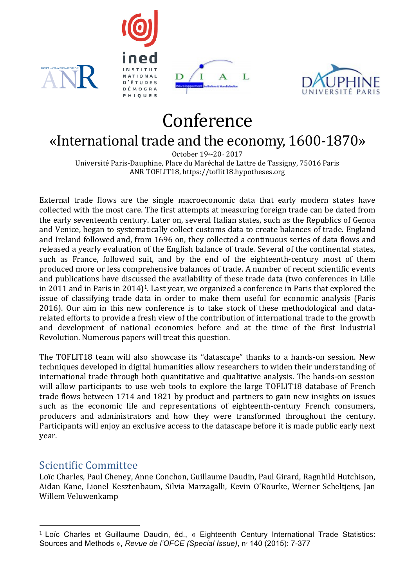







# Conference

# «International trade and the economy, 1600-1870»

October 19th-20th 2017 Université Paris-Dauphine, Place du Maréchal de Lattre de Tassigny, 75016 Paris ANR TOFLIT18, https://toflit18.hypotheses.org

External trade flows are the single macroeconomic data that early modern states have collected with the most care. The first attempts at measuring foreign trade can be dated from the early seventeenth century. Later on, several Italian states, such as the Republics of Genoa and Venice, began to systematically collect customs data to create balances of trade. England and Ireland followed and, from 1696 on, they collected a continuous series of data flows and released a yearly evaluation of the English balance of trade. Several of the continental states, such as France, followed suit, and by the end of the eighteenth-century most of them produced more or less comprehensive balances of trade. A number of recent scientific events and publications have discussed the availability of these trade data (two conferences in Lille in 2011 and in Paris in 2014)<sup>1</sup>. Last year, we organized a conference in Paris that explored the issue of classifying trade data in order to make them useful for economic analysis (Paris 2016). Our aim in this new conference is to take stock of these methodological and datarelated efforts to provide a fresh view of the contribution of international trade to the growth and development of national economies before and at the time of the first Industrial Revolution. Numerous papers will treat this question.

The TOFLIT18 team will also showcase its "datascape" thanks to a hands-on session. New techniques developed in digital humanities allow researchers to widen their understanding of international trade through both quantitative and qualitative analysis. The hands-on session will allow participants to use web tools to explore the large TOFLIT18 database of French trade flows between 1714 and 1821 by product and partners to gain new insights on issues such as the economic life and representations of eighteenth-century French consumers, producers and administrators and how they were transformed throughout the century. Participants will enjoy an exclusive access to the datascape before it is made public early next year.

#### Scientific Committee

 

Loïc Charles, Paul Cheney, Anne Conchon, Guillaume Daudin, Paul Girard, Ragnhild Hutchison, Aidan Kane, Lionel Kesztenbaum, Silvia Marzagalli, Kevin O'Rourke, Werner Scheltjens, Jan Willem Veluwenkamp

<sup>&</sup>lt;sup>1</sup> Loïc Charles et Guillaume Daudin, éd., « Eighteenth Century International Trade Statistics: Sources and Methods », *Revue de l'OFCE* (Special Issue), nº 140 (2015): 7-377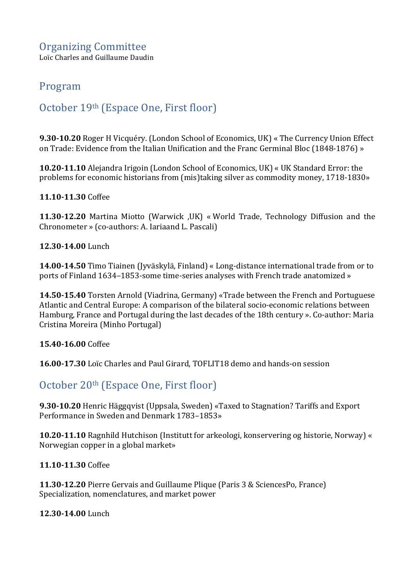Loïc Charles and Guillaume Daudin

### Program

## October 19<sup>th</sup> (Espace One, First floor)

**9.30-10.20** Roger H Vicquéry. (London School of Economics, UK) « The Currency Union Effect on Trade: Evidence from the Italian Unification and the Franc Germinal Bloc (1848-1876) »

**10.20-11.10** Alejandra Irigoin (London School of Economics, UK) « UK Standard Error: the problems for economic historians from (mis)taking silver as commodity money, 1718-1830»

**11.10-11.30** Coffee

**11.30-12.20** Martina Miotto (Warwick ,UK) « World Trade, Technology Diffusion and the Chronometer » (co-authors: A. Iariaand L. Pascali)

**12.30-14.00** Lunch

**14.00-14.50** Timo Tiainen (Jyväskylä, Finland) « Long-distance international trade from or to ports of Finland 1634–1853-some time-series analyses with French trade anatomized »

**14.50-15.40** Torsten Arnold (Viadrina, Germany) «Trade between the French and Portuguese Atlantic and Central Europe: A comparison of the bilateral socio-economic relations between Hamburg, France and Portugal during the last decades of the 18th century ». Co-author: Maria Cristina Moreira (Minho Portugal)

**15.40-16.00** Coffee

**16.00-17.30** Loïc Charles and Paul Girard, TOFLIT18 demo and hands-on session

#### October 20<sup>th</sup> (Espace One, First floor)

**9.30-10.20** Henric Häggqvist (Uppsala, Sweden) «Taxed to Stagnation? Tariffs and Export Performance in Sweden and Denmark 1783–1853»

**10.20-11.10** Ragnhild Hutchison (Institutt for arkeologi, konservering og historie, Norway) « Norwegian copper in a global market»

**11.10-11.30** Coffee

**11.30-12.20** Pierre Gervais and Guillaume Plique (Paris 3 & SciencesPo, France) Specialization, nomenclatures, and market power

**12.30-14.00** Lunch